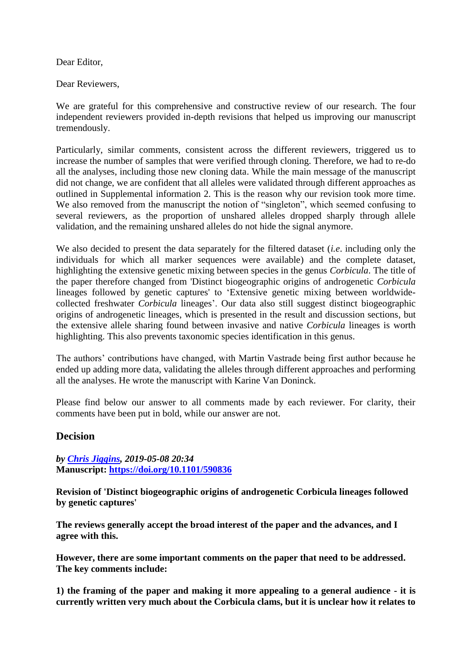Dear Editor,

Dear Reviewers,

We are grateful for this comprehensive and constructive review of our research. The four independent reviewers provided in-depth revisions that helped us improving our manuscript tremendously.

Particularly, similar comments, consistent across the different reviewers, triggered us to increase the number of samples that were verified through cloning. Therefore, we had to re-do all the analyses, including those new cloning data. While the main message of the manuscript did not change, we are confident that all alleles were validated through different approaches as outlined in Supplemental information 2. This is the reason why our revision took more time. We also removed from the manuscript the notion of "singleton", which seemed confusing to several reviewers, as the proportion of unshared alleles dropped sharply through allele validation, and the remaining unshared alleles do not hide the signal anymore.

We also decided to present the data separately for the filtered dataset (*i.e*. including only the individuals for which all marker sequences were available) and the complete dataset, highlighting the extensive genetic mixing between species in the genus *Corbicula*. The title of the paper therefore changed from 'Distinct biogeographic origins of androgenetic *Corbicula* lineages followed by genetic captures' to 'Extensive genetic mixing between worldwidecollected freshwater *Corbicula* lineages'. Our data also still suggest distinct biogeographic origins of androgenetic lineages, which is presented in the result and discussion sections, but the extensive allele sharing found between invasive and native *Corbicula* lineages is worth highlighting. This also prevents taxonomic species identification in this genus.

The authors' contributions have changed, with Martin Vastrade being first author because he ended up adding more data, validating the alleles through different approaches and performing all the analyses. He wrote the manuscript with Karine Van Doninck.

Please find below our answer to all comments made by each reviewer. For clarity, their comments have been put in bold, while our answer are not.

# **Decision**

*by [Chris Jiggins,](https://evolbiol.peercommunityin.org/public/viewUserCard?userId=869) 2019-05-08 20:34* **Manuscript:<https://doi.org/10.1101/590836>**

**Revision of 'Distinct biogeographic origins of androgenetic Corbicula lineages followed by genetic captures'**

**The reviews generally accept the broad interest of the paper and the advances, and I agree with this.**

**However, there are some important comments on the paper that need to be addressed. The key comments include:**

**1) the framing of the paper and making it more appealing to a general audience - it is currently written very much about the Corbicula clams, but it is unclear how it relates to**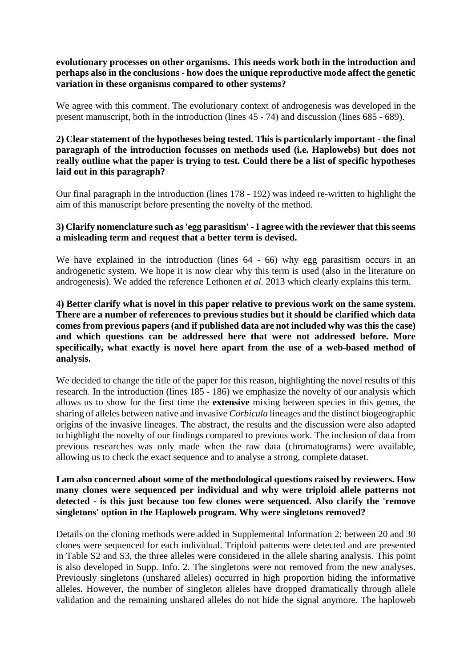**evolutionary processes on other organisms. This needs work both in the introduction and perhaps also in the conclusions - how does the unique reproductive mode affect the genetic variation in these organisms compared to other systems?**

We agree with this comment. The evolutionary context of androgenesis was developed in the present manuscript, both in the introduction (lines 45 - 74) and discussion (lines 685 - 689).

#### **2) Clear statement of the hypotheses being tested. This is particularly important - the final paragraph of the introduction focusses on methods used (i.e. Haplowebs) but does not really outline what the paper is trying to test. Could there be a list of specific hypotheses laid out in this paragraph?**

Our final paragraph in the introduction (lines 178 - 192) was indeed re-written to highlight the aim of this manuscript before presenting the novelty of the method.

#### **3) Clarify nomenclature such as 'egg parasitism' -I agree with the reviewer that this seems a misleading term and request that a better term is devised.**

We have explained in the introduction (lines  $64 - 66$ ) why egg parasitism occurs in an androgenetic system. We hope it is now clear why this term is used (also in the literature on androgenesis). We added the reference Lethonen *et al.* 2013 which clearly explains this term.

#### **4) Better clarify what is novel in this paper relative to previous work on the same system. There are a number of references to previous studies but it should be clarified which data comes from previous papers (and if published data are not included why was this the case) and which questions can be addressed here that were not addressed before. More specifically, what exactly is novel here apart from the use of a web-based method of analysis.**

We decided to change the title of the paper for this reason, highlighting the novel results of this research. In the introduction (lines 185 - 186) we emphasize the novelty of our analysis which allows us to show for the first time the **extensive** mixing between species in this genus, the sharing of alleles between native and invasive *Corbicula* lineages and the distinct biogeographic origins of the invasive lineages. The abstract, the results and the discussion were also adapted to highlight the novelty of our findings compared to previous work. The inclusion of data from previous researches was only made when the raw data (chromatograms) were available, allowing us to check the exact sequence and to analyse a strong, complete dataset.

#### **I am also concerned about some of the methodological questions raised by reviewers. How many clones were sequenced per individual and why were triploid allele patterns not detected - is this just because too few clones were sequenced. Also clarify the 'remove singletons' option in the Haploweb program. Why were singletons removed?**

Details on the cloning methods were added in Supplemental Information 2: between 20 and 30 clones were sequenced for each individual. Triploid patterns were detected and are presented in Table S2 and S3, the three alleles were considered in the allele sharing analysis. This point is also developed in Supp. Info. 2. The singletons were not removed from the new analyses. Previously singletons (unshared alleles) occurred in high proportion hiding the informative alleles. However, the number of singleton alleles have dropped dramatically through allele validation and the remaining unshared alleles do not hide the signal anymore. The haploweb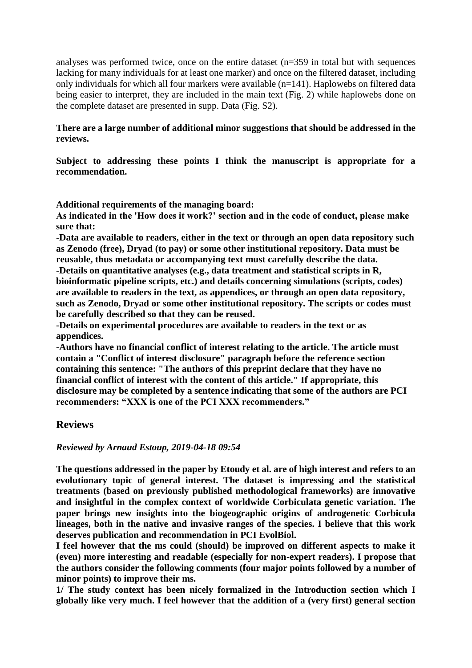analyses was performed twice, once on the entire dataset (n=359 in total but with sequences lacking for many individuals for at least one marker) and once on the filtered dataset, including only individuals for which all four markers were available (n=141). Haplowebs on filtered data being easier to interpret, they are included in the main text (Fig. 2) while haplowebs done on the complete dataset are presented in supp. Data (Fig. S2).

#### **There are a large number of additional minor suggestions that should be addressed in the reviews.**

**Subject to addressing these points I think the manuscript is appropriate for a recommendation.** 

**Additional requirements of the managing board:** 

**As indicated in the 'How does it work?' section and in the code of conduct, please make sure that:** 

**-Data are available to readers, either in the text or through an open data repository such as Zenodo (free), Dryad (to pay) or some other institutional repository. Data must be reusable, thus metadata or accompanying text must carefully describe the data. -Details on quantitative analyses (e.g., data treatment and statistical scripts in R,** 

**bioinformatic pipeline scripts, etc.) and details concerning simulations (scripts, codes) are available to readers in the text, as appendices, or through an open data repository, such as Zenodo, Dryad or some other institutional repository. The scripts or codes must be carefully described so that they can be reused.** 

**-Details on experimental procedures are available to readers in the text or as appendices.** 

**-Authors have no financial conflict of interest relating to the article. The article must contain a "Conflict of interest disclosure" paragraph before the reference section containing this sentence: "The authors of this preprint declare that they have no financial conflict of interest with the content of this article." If appropriate, this disclosure may be completed by a sentence indicating that some of the authors are PCI recommenders: "XXX is one of the PCI XXX recommenders."**

# **Reviews**

#### *Reviewed by Arnaud Estoup, 2019-04-18 09:54*

**The questions addressed in the paper by Etoudy et al. are of high interest and refers to an evolutionary topic of general interest. The dataset is impressing and the statistical treatments (based on previously published methodological frameworks) are innovative and insightful in the complex context of worldwide Corbiculata genetic variation. The paper brings new insights into the biogeographic origins of androgenetic Corbicula lineages, both in the native and invasive ranges of the species. I believe that this work deserves publication and recommendation in PCI EvolBiol.**

**I feel however that the ms could (should) be improved on different aspects to make it (even) more interesting and readable (especially for non-expert readers). I propose that the authors consider the following comments (four major points followed by a number of minor points) to improve their ms.**

**1/ The study context has been nicely formalized in the Introduction section which I globally like very much. I feel however that the addition of a (very first) general section**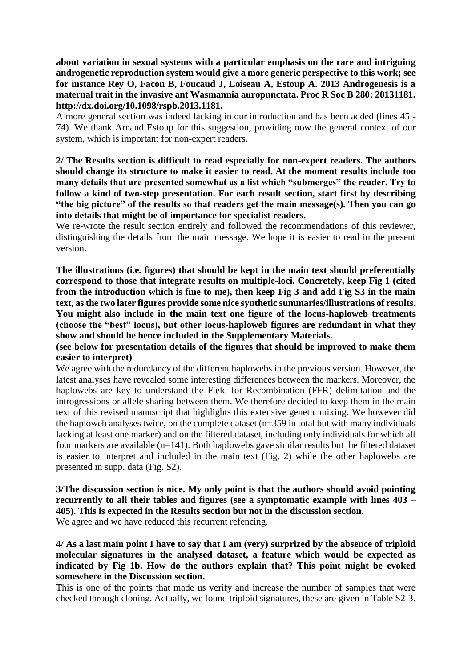**about variation in sexual systems with a particular emphasis on the rare and intriguing androgenetic reproduction system would give a more generic perspective to this work; see for instance Rey O, Facon B, Foucaud J, Loiseau A, Estoup A. 2013 Androgenesis is a maternal trait in the invasive ant Wasmannia auropunctata. Proc R Soc B 280: 20131181. http://dx.doi.org/10.1098/rspb.2013.1181.**

A more general section was indeed lacking in our introduction and has been added (lines 45 - 74). We thank Arnaud Estoup for this suggestion, providing now the general context of our system, which is important for non-expert readers.

**2/ The Results section is difficult to read especially for non-expert readers. The authors should change its structure to make it easier to read. At the moment results include too many details that are presented somewhat as a list which "submerges" the reader. Try to follow a kind of two-step presentation. For each result section, start first by describing "the big picture" of the results so that readers get the main message(s). Then you can go into details that might be of importance for specialist readers.**

We re-wrote the result section entirely and followed the recommendations of this reviewer, distinguishing the details from the main message. We hope it is easier to read in the present version.

**The illustrations (i.e. figures) that should be kept in the main text should preferentially correspond to those that integrate results on multiple-loci. Concretely, keep Fig 1 (cited from the introduction which is fine to me), then keep Fig 3 and add Fig S3 in the main text, as the two later figures provide some nice synthetic summaries/illustrations of results. You might also include in the main text one figure of the locus-haploweb treatments (choose the "best" locus), but other locus-haploweb figures are redundant in what they show and should be hence included in the Supplementary Materials.**

**(see below for presentation details of the figures that should be improved to make them easier to interpret)**

We agree with the redundancy of the different haplowebs in the previous version. However, the latest analyses have revealed some interesting differences between the markers. Moreover, the haplowebs are key to understand the Field for Recombination (FFR) delimitation and the introgressions or allele sharing between them. We therefore decided to keep them in the main text of this revised manuscript that highlights this extensive genetic mixing. We however did the haploweb analyses twice, on the complete dataset (n=359 in total but with many individuals lacking at least one marker) and on the filtered dataset, including only individuals for which all four markers are available (n=141). Both haplowebs gave similar results but the filtered dataset is easier to interpret and included in the main text (Fig. 2) while the other haplowebs are presented in supp. data (Fig. S2).

# **3/The discussion section is nice. My only point is that the authors should avoid pointing recurrently to all their tables and figures (see a symptomatic example with lines 403 – 405). This is expected in the Results section but not in the discussion section.**

We agree and we have reduced this recurrent refencing.

**4/ As a last main point I have to say that I am (very) surprized by the absence of triploid molecular signatures in the analysed dataset, a feature which would be expected as indicated by Fig 1b. How do the authors explain that? This point might be evoked somewhere in the Discussion section.**

This is one of the points that made us verify and increase the number of samples that were checked through cloning. Actually, we found triploid signatures, these are given in Table S2-3.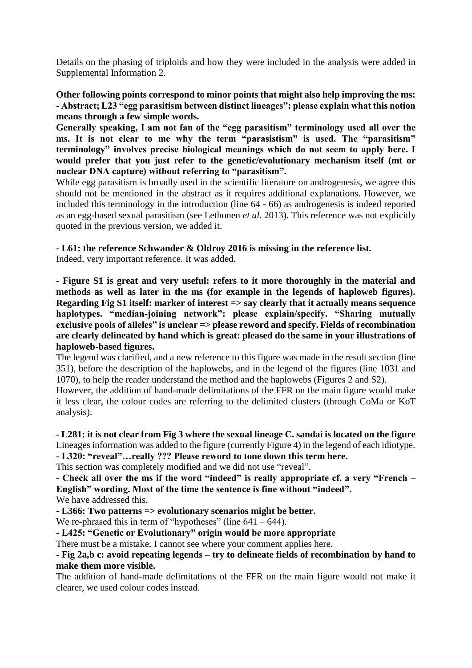Details on the phasing of triploids and how they were included in the analysis were added in Supplemental Information 2.

**Other following points correspond to minor points that might also help improving the ms: - Abstract; L23 "egg parasitism between distinct lineages": please explain what this notion means through a few simple words.**

**Generally speaking, I am not fan of the "egg parasitism" terminology used all over the ms. It is not clear to me why the term "parasistism" is used. The "parasitism" terminology" involves precise biological meanings which do not seem to apply here. I would prefer that you just refer to the genetic/evolutionary mechanism itself (mt or nuclear DNA capture) without referring to "parasitism".**

While egg parasitism is broadly used in the scientific literature on androgenesis, we agree this should not be mentioned in the abstract as it requires additional explanations. However, we included this terminology in the introduction (line 64 - 66) as androgenesis is indeed reported as an egg-based sexual parasitism (see Lethonen *et al.* 2013). This reference was not explicitly quoted in the previous version, we added it.

## **- L61: the reference Schwander & Oldroy 2016 is missing in the reference list.**

Indeed, very important reference. It was added.

**- Figure S1 is great and very useful: refers to it more thoroughly in the material and methods as well as later in the ms (for example in the legends of haploweb figures). Regarding Fig S1 itself: marker of interest => say clearly that it actually means sequence haplotypes. "median-joining network": please explain/specify. "Sharing mutually exclusive pools of alleles" is unclear => please reword and specify. Fields of recombination are clearly delineated by hand which is great: pleased do the same in your illustrations of haploweb-based figures.**

The legend was clarified, and a new reference to this figure was made in the result section (line 351), before the description of the haplowebs, and in the legend of the figures (line 1031 and 1070), to help the reader understand the method and the haplowebs (Figures 2 and S2).

However, the addition of hand-made delimitations of the FFR on the main figure would make it less clear, the colour codes are referring to the delimited clusters (through CoMa or KoT analysis).

#### **- L281: it is not clear from Fig 3 where the sexual lineage C. sandai is located on the figure** Lineages information was added to the figure (currently Figure 4) in the legend of each idiotype. **- L320: "reveal"…really ??? Please reword to tone down this term here.**

This section was completely modified and we did not use "reveal".

**- Check all over the ms if the word "indeed" is really appropriate cf. a very "French – English" wording. Most of the time the sentence is fine without "indeed".**

We have addressed this.

**- L366: Two patterns => evolutionary scenarios might be better.**

We re-phrased this in term of "hypotheses" (line  $641 - 644$ ).

**- L425: "Genetic or Evolutionary" origin would be more appropriate**

There must be a mistake, I cannot see where your comment applies here.

**- Fig 2a,b c: avoid repeating legends – try to delineate fields of recombination by hand to make them more visible.**

The addition of hand-made delimitations of the FFR on the main figure would not make it clearer, we used colour codes instead.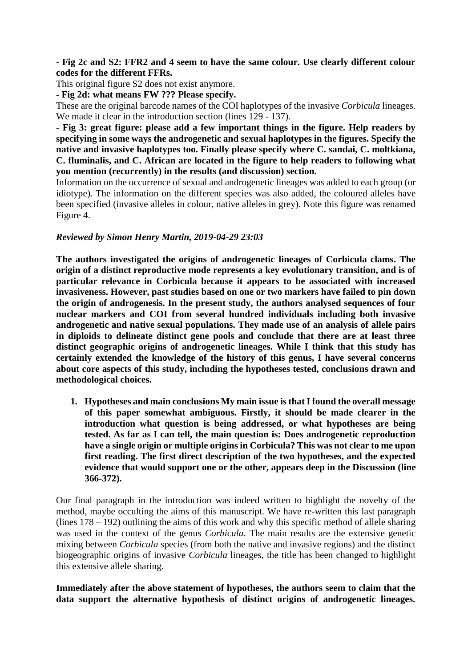#### **- Fig 2c and S2: FFR2 and 4 seem to have the same colour. Use clearly different colour codes for the different FFRs.**

This original figure S2 does not exist anymore.

**- Fig 2d: what means FW ??? Please specify.**

These are the original barcode names of the COI haplotypes of the invasive *Corbicula* lineages. We made it clear in the introduction section (lines 129 - 137).

**- Fig 3: great figure: please add a few important things in the figure. Help readers by specifying in some ways the androgenetic and sexual haplotypes in the figures. Specify the native and invasive haplotypes too. Finally please specify where C. sandai, C. moltkiana, C. fluminalis, and C. African are located in the figure to help readers to following what you mention (recurrently) in the results (and discussion) section.**

Information on the occurrence of sexual and androgenetic lineages was added to each group (or idiotype). The information on the different species was also added, the coloured alleles have been specified (invasive alleles in colour, native alleles in grey). Note this figure was renamed Figure 4.

#### *Reviewed by Simon Henry Martin, 2019-04-29 23:03*

**The authors investigated the origins of androgenetic lineages of Corbicula clams. The origin of a distinct reproductive mode represents a key evolutionary transition, and is of particular relevance in Corbicula because it appears to be associated with increased invasiveness. However, past studies based on one or two markers have failed to pin down the origin of androgenesis. In the present study, the authors analysed sequences of four nuclear markers and COI from several hundred individuals including both invasive androgenetic and native sexual populations. They made use of an analysis of allele pairs in diploids to delineate distinct gene pools and conclude that there are at least three distinct geographic origins of androgenetic lineages. While I think that this study has certainly extended the knowledge of the history of this genus, I have several concerns about core aspects of this study, including the hypotheses tested, conclusions drawn and methodological choices.**

**1. Hypotheses and main conclusions My main issue is that I found the overall message of this paper somewhat ambiguous. Firstly, it should be made clearer in the introduction what question is being addressed, or what hypotheses are being tested. As far as I can tell, the main question is: Does androgenetic reproduction have a single origin or multiple origins in Corbicula? This was not clear to me upon first reading. The first direct description of the two hypotheses, and the expected evidence that would support one or the other, appears deep in the Discussion (line 366-372).**

Our final paragraph in the introduction was indeed written to highlight the novelty of the method, maybe occulting the aims of this manuscript. We have re-written this last paragraph (lines  $178 - 192$ ) outlining the aims of this work and why this specific method of allele sharing was used in the context of the genus *Corbicula*. The main results are the extensive genetic mixing between *Corbicula* species (from both the native and invasive regions) and the distinct biogeographic origins of invasive *Corbicula* lineages, the title has been changed to highlight this extensive allele sharing.

**Immediately after the above statement of hypotheses, the authors seem to claim that the data support the alternative hypothesis of distinct origins of androgenetic lineages.**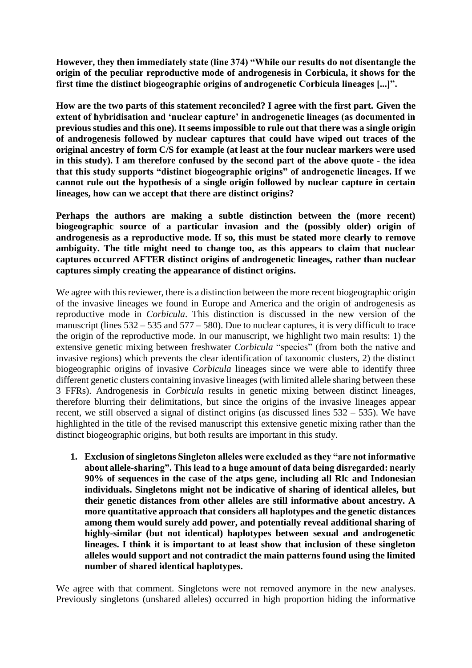**However, they then immediately state (line 374) "While our results do not disentangle the origin of the peculiar reproductive mode of androgenesis in Corbicula, it shows for the first time the distinct biogeographic origins of androgenetic Corbicula lineages [...]".**

**How are the two parts of this statement reconciled? I agree with the first part. Given the extent of hybridisation and 'nuclear capture' in androgenetic lineages (as documented in previous studies and this one). It seems impossible to rule out that there was a single origin of androgenesis followed by nuclear captures that could have wiped out traces of the original ancestry of form C/S for example (at least at the four nuclear markers were used in this study). I am therefore confused by the second part of the above quote - the idea that this study supports "distinct biogeographic origins" of androgenetic lineages. If we cannot rule out the hypothesis of a single origin followed by nuclear capture in certain lineages, how can we accept that there are distinct origins?**

**Perhaps the authors are making a subtle distinction between the (more recent) biogeographic source of a particular invasion and the (possibly older) origin of androgenesis as a reproductive mode. If so, this must be stated more clearly to remove ambiguity. The title might need to change too, as this appears to claim that nuclear captures occurred AFTER distinct origins of androgenetic lineages, rather than nuclear captures simply creating the appearance of distinct origins.**

We agree with this reviewer, there is a distinction between the more recent biogeographic origin of the invasive lineages we found in Europe and America and the origin of androgenesis as reproductive mode in *Corbicula*. This distinction is discussed in the new version of the manuscript (lines  $532 - 535$  and  $577 - 580$ ). Due to nuclear captures, it is very difficult to trace the origin of the reproductive mode. In our manuscript, we highlight two main results: 1) the extensive genetic mixing between freshwater *Corbicula* "species" (from both the native and invasive regions) which prevents the clear identification of taxonomic clusters, 2) the distinct biogeographic origins of invasive *Corbicula* lineages since we were able to identify three different genetic clusters containing invasive lineages (with limited allele sharing between these 3 FFRs). Androgenesis in *Corbicula* results in genetic mixing between distinct lineages, therefore blurring their delimitations, but since the origins of the invasive lineages appear recent, we still observed a signal of distinct origins (as discussed lines 532 – 535). We have highlighted in the title of the revised manuscript this extensive genetic mixing rather than the distinct biogeographic origins, but both results are important in this study.

**1. Exclusion of singletons Singleton alleles were excluded as they "are not informative about allele-sharing". This lead to a huge amount of data being disregarded: nearly 90% of sequences in the case of the atps gene, including all Rlc and Indonesian individuals. Singletons might not be indicative of sharing of identical alleles, but their genetic distances from other alleles are still informative about ancestry. A more quantitative approach that considers all haplotypes and the genetic distances among them would surely add power, and potentially reveal additional sharing of highly-similar (but not identical) haplotypes between sexual and androgenetic lineages. I think it is important to at least show that inclusion of these singleton alleles would support and not contradict the main patterns found using the limited number of shared identical haplotypes.**

We agree with that comment. Singletons were not removed anymore in the new analyses. Previously singletons (unshared alleles) occurred in high proportion hiding the informative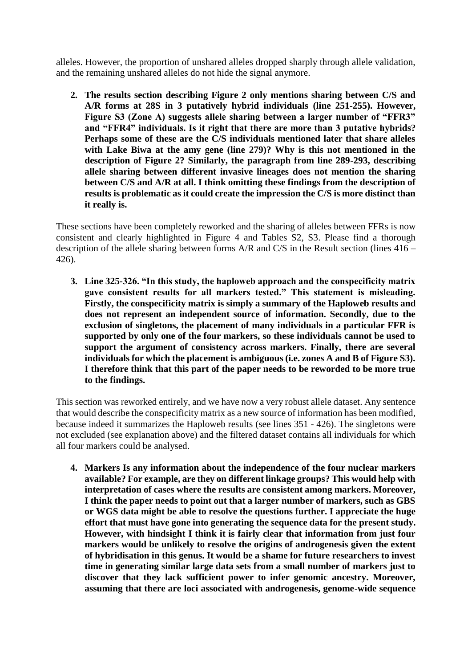alleles. However, the proportion of unshared alleles dropped sharply through allele validation, and the remaining unshared alleles do not hide the signal anymore.

**2. The results section describing Figure 2 only mentions sharing between C/S and A/R forms at 28S in 3 putatively hybrid individuals (line 251-255). However, Figure S3 (Zone A) suggests allele sharing between a larger number of "FFR3" and "FFR4" individuals. Is it right that there are more than 3 putative hybrids? Perhaps some of these are the C/S individuals mentioned later that share alleles with Lake Biwa at the amy gene (line 279)? Why is this not mentioned in the description of Figure 2? Similarly, the paragraph from line 289-293, describing allele sharing between different invasive lineages does not mention the sharing between C/S and A/R at all. I think omitting these findings from the description of results is problematic as it could create the impression the C/S is more distinct than it really is.**

These sections have been completely reworked and the sharing of alleles between FFRs is now consistent and clearly highlighted in Figure 4 and Tables S2, S3. Please find a thorough description of the allele sharing between forms A/R and C/S in the Result section (lines 416 – 426).

**3. Line 325-326. "In this study, the haploweb approach and the conspecificity matrix gave consistent results for all markers tested." This statement is misleading. Firstly, the conspecificity matrix is simply a summary of the Haploweb results and does not represent an independent source of information. Secondly, due to the exclusion of singletons, the placement of many individuals in a particular FFR is supported by only one of the four markers, so these individuals cannot be used to support the argument of consistency across markers. Finally, there are several individuals for which the placement is ambiguous (i.e. zones A and B of Figure S3). I therefore think that this part of the paper needs to be reworded to be more true to the findings.**

This section was reworked entirely, and we have now a very robust allele dataset. Any sentence that would describe the conspecificity matrix as a new source of information has been modified, because indeed it summarizes the Haploweb results (see lines 351 - 426). The singletons were not excluded (see explanation above) and the filtered dataset contains all individuals for which all four markers could be analysed.

**4. Markers Is any information about the independence of the four nuclear markers available? For example, are they on different linkage groups? This would help with interpretation of cases where the results are consistent among markers. Moreover, I think the paper needs to point out that a larger number of markers, such as GBS or WGS data might be able to resolve the questions further. I appreciate the huge effort that must have gone into generating the sequence data for the present study. However, with hindsight I think it is fairly clear that information from just four markers would be unlikely to resolve the origins of androgenesis given the extent of hybridisation in this genus. It would be a shame for future researchers to invest time in generating similar large data sets from a small number of markers just to discover that they lack sufficient power to infer genomic ancestry. Moreover, assuming that there are loci associated with androgenesis, genome-wide sequence**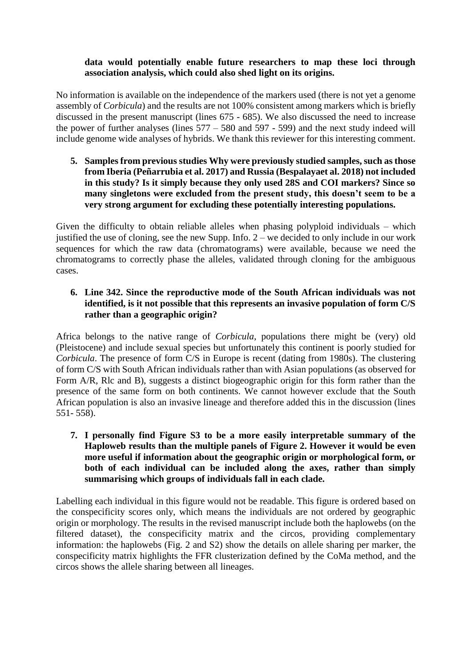## **data would potentially enable future researchers to map these loci through association analysis, which could also shed light on its origins.**

No information is available on the independence of the markers used (there is not yet a genome assembly of *Corbicula*) and the results are not 100% consistent among markers which is briefly discussed in the present manuscript (lines 675 - 685). We also discussed the need to increase the power of further analyses (lines 577 – 580 and 597 - 599) and the next study indeed will include genome wide analyses of hybrids. We thank this reviewer for this interesting comment.

**5. Samples from previous studies Why were previously studied samples, such as those from Iberia (Peñarrubia et al. 2017) and Russia (Bespalayaet al. 2018) not included in this study? Is it simply because they only used 28S and COI markers? Since so many singletons were excluded from the present study, this doesn't seem to be a very strong argument for excluding these potentially interesting populations.**

Given the difficulty to obtain reliable alleles when phasing polyploid individuals – which justified the use of cloning, see the new Supp. Info.  $2$  – we decided to only include in our work sequences for which the raw data (chromatograms) were available, because we need the chromatograms to correctly phase the alleles, validated through cloning for the ambiguous cases.

## **6. Line 342. Since the reproductive mode of the South African individuals was not identified, is it not possible that this represents an invasive population of form C/S rather than a geographic origin?**

Africa belongs to the native range of *Corbicula*, populations there might be (very) old (Pleistocene) and include sexual species but unfortunately this continent is poorly studied for *Corbicula*. The presence of form C/S in Europe is recent (dating from 1980s). The clustering of form C/S with South African individuals rather than with Asian populations (as observed for Form A/R, Rlc and B), suggests a distinct biogeographic origin for this form rather than the presence of the same form on both continents. We cannot however exclude that the South African population is also an invasive lineage and therefore added this in the discussion (lines 551- 558).

**7. I personally find Figure S3 to be a more easily interpretable summary of the Haploweb results than the multiple panels of Figure 2. However it would be even more useful if information about the geographic origin or morphological form, or both of each individual can be included along the axes, rather than simply summarising which groups of individuals fall in each clade.**

Labelling each individual in this figure would not be readable. This figure is ordered based on the conspecificity scores only, which means the individuals are not ordered by geographic origin or morphology. The results in the revised manuscript include both the haplowebs (on the filtered dataset), the conspecificity matrix and the circos, providing complementary information: the haplowebs (Fig. 2 and S2) show the details on allele sharing per marker, the conspecificity matrix highlights the FFR clusterization defined by the CoMa method, and the circos shows the allele sharing between all lineages.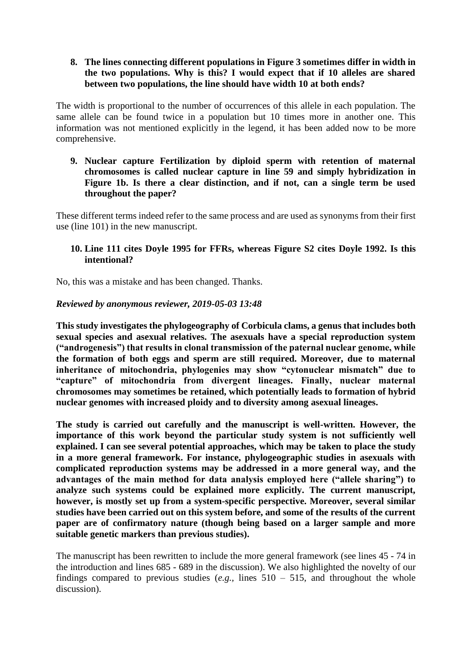## **8. The lines connecting different populations in Figure 3 sometimes differ in width in the two populations. Why is this? I would expect that if 10 alleles are shared between two populations, the line should have width 10 at both ends?**

The width is proportional to the number of occurrences of this allele in each population. The same allele can be found twice in a population but 10 times more in another one. This information was not mentioned explicitly in the legend, it has been added now to be more comprehensive.

**9. Nuclear capture Fertilization by diploid sperm with retention of maternal chromosomes is called nuclear capture in line 59 and simply hybridization in Figure 1b. Is there a clear distinction, and if not, can a single term be used throughout the paper?**

These different terms indeed refer to the same process and are used as synonyms from their first use (line 101) in the new manuscript.

#### **10. Line 111 cites Doyle 1995 for FFRs, whereas Figure S2 cites Doyle 1992. Is this intentional?**

No, this was a mistake and has been changed. Thanks.

## *Reviewed by anonymous reviewer, 2019-05-03 13:48*

**This study investigates the phylogeography of Corbicula clams, a genus that includes both sexual species and asexual relatives. The asexuals have a special reproduction system ("androgenesis") that results in clonal transmission of the paternal nuclear genome, while the formation of both eggs and sperm are still required. Moreover, due to maternal inheritance of mitochondria, phylogenies may show "cytonuclear mismatch" due to "capture" of mitochondria from divergent lineages. Finally, nuclear maternal chromosomes may sometimes be retained, which potentially leads to formation of hybrid nuclear genomes with increased ploidy and to diversity among asexual lineages.**

**The study is carried out carefully and the manuscript is well-written. However, the importance of this work beyond the particular study system is not sufficiently well explained. I can see several potential approaches, which may be taken to place the study in a more general framework. For instance, phylogeographic studies in asexuals with complicated reproduction systems may be addressed in a more general way, and the advantages of the main method for data analysis employed here ("allele sharing") to analyze such systems could be explained more explicitly. The current manuscript, however, is mostly set up from a system-specific perspective. Moreover, several similar studies have been carried out on this system before, and some of the results of the current paper are of confirmatory nature (though being based on a larger sample and more suitable genetic markers than previous studies).**

The manuscript has been rewritten to include the more general framework (see lines 45 - 74 in the introduction and lines 685 - 689 in the discussion). We also highlighted the novelty of our findings compared to previous studies (*e.g.,* lines 510 – 515, and throughout the whole discussion).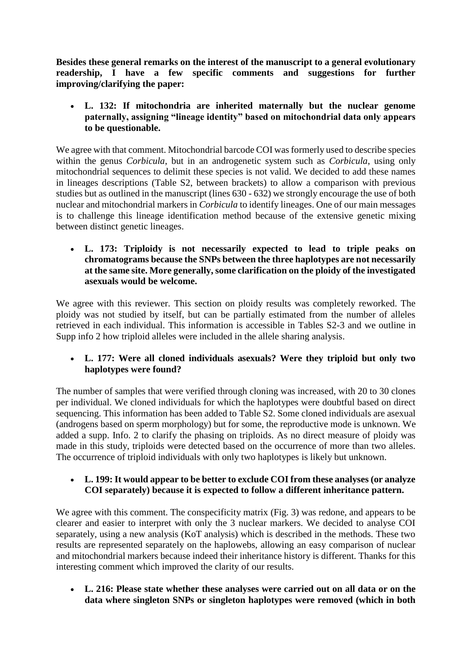**Besides these general remarks on the interest of the manuscript to a general evolutionary readership, I have a few specific comments and suggestions for further improving/clarifying the paper:**

• **L. 132: If mitochondria are inherited maternally but the nuclear genome paternally, assigning "lineage identity" based on mitochondrial data only appears to be questionable.**

We agree with that comment. Mitochondrial barcode COI was formerly used to describe species within the genus *Corbicula*, but in an androgenetic system such as *Corbicula*, using only mitochondrial sequences to delimit these species is not valid. We decided to add these names in lineages descriptions (Table S2, between brackets) to allow a comparison with previous studies but as outlined in the manuscript (lines 630 - 632) we strongly encourage the use of both nuclear and mitochondrial markers in *Corbicula* to identify lineages. One of our main messages is to challenge this lineage identification method because of the extensive genetic mixing between distinct genetic lineages.

• **L. 173: Triploidy is not necessarily expected to lead to triple peaks on chromatograms because the SNPs between the three haplotypes are not necessarily at the same site. More generally, some clarification on the ploidy of the investigated asexuals would be welcome.**

We agree with this reviewer. This section on ploidy results was completely reworked. The ploidy was not studied by itself, but can be partially estimated from the number of alleles retrieved in each individual. This information is accessible in Tables S2-3 and we outline in Supp info 2 how triploid alleles were included in the allele sharing analysis.

## • **L. 177: Were all cloned individuals asexuals? Were they triploid but only two haplotypes were found?**

The number of samples that were verified through cloning was increased, with 20 to 30 clones per individual. We cloned individuals for which the haplotypes were doubtful based on direct sequencing. This information has been added to Table S2. Some cloned individuals are asexual (androgens based on sperm morphology) but for some, the reproductive mode is unknown. We added a supp. Info. 2 to clarify the phasing on triploids. As no direct measure of ploidy was made in this study, triploids were detected based on the occurrence of more than two alleles. The occurrence of triploid individuals with only two haplotypes is likely but unknown.

• **L. 199: It would appear to be better to exclude COI from these analyses (or analyze COI separately) because it is expected to follow a different inheritance pattern.**

We agree with this comment. The conspecificity matrix (Fig. 3) was redone, and appears to be clearer and easier to interpret with only the 3 nuclear markers. We decided to analyse COI separately, using a new analysis (KoT analysis) which is described in the methods. These two results are represented separately on the haplowebs, allowing an easy comparison of nuclear and mitochondrial markers because indeed their inheritance history is different. Thanks for this interesting comment which improved the clarity of our results.

• **L. 216: Please state whether these analyses were carried out on all data or on the data where singleton SNPs or singleton haplotypes were removed (which in both**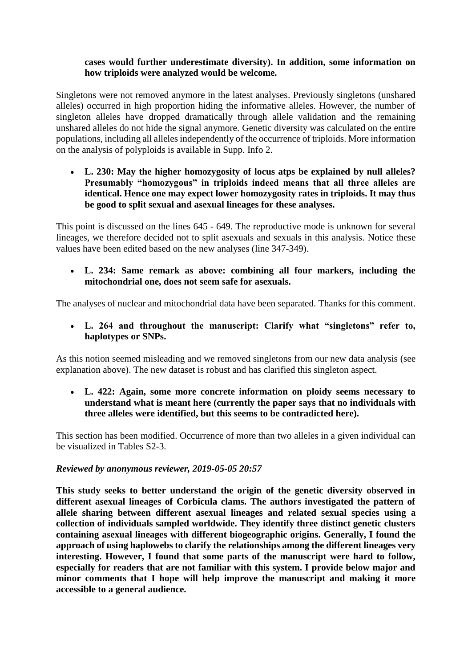## **cases would further underestimate diversity). In addition, some information on how triploids were analyzed would be welcome.**

Singletons were not removed anymore in the latest analyses. Previously singletons (unshared alleles) occurred in high proportion hiding the informative alleles. However, the number of singleton alleles have dropped dramatically through allele validation and the remaining unshared alleles do not hide the signal anymore. Genetic diversity was calculated on the entire populations, including all alleles independently of the occurrence of triploids. More information on the analysis of polyploids is available in Supp. Info 2.

• **L. 230: May the higher homozygosity of locus atps be explained by null alleles? Presumably "homozygous" in triploids indeed means that all three alleles are identical. Hence one may expect lower homozygosity rates in triploids. It may thus be good to split sexual and asexual lineages for these analyses.**

This point is discussed on the lines 645 - 649. The reproductive mode is unknown for several lineages, we therefore decided not to split asexuals and sexuals in this analysis. Notice these values have been edited based on the new analyses (line 347-349).

• **L. 234: Same remark as above: combining all four markers, including the mitochondrial one, does not seem safe for asexuals.**

The analyses of nuclear and mitochondrial data have been separated. Thanks for this comment.

• **L. 264 and throughout the manuscript: Clarify what "singletons" refer to, haplotypes or SNPs.**

As this notion seemed misleading and we removed singletons from our new data analysis (see explanation above). The new dataset is robust and has clarified this singleton aspect.

• **L. 422: Again, some more concrete information on ploidy seems necessary to understand what is meant here (currently the paper says that no individuals with three alleles were identified, but this seems to be contradicted here).**

This section has been modified. Occurrence of more than two alleles in a given individual can be visualized in Tables S2-3.

## *Reviewed by anonymous reviewer, 2019-05-05 20:57*

**This study seeks to better understand the origin of the genetic diversity observed in different asexual lineages of Corbicula clams. The authors investigated the pattern of allele sharing between different asexual lineages and related sexual species using a collection of individuals sampled worldwide. They identify three distinct genetic clusters containing asexual lineages with different biogeographic origins. Generally, I found the approach of using haplowebs to clarify the relationships among the different lineages very interesting. However, I found that some parts of the manuscript were hard to follow, especially for readers that are not familiar with this system. I provide below major and minor comments that I hope will help improve the manuscript and making it more accessible to a general audience.**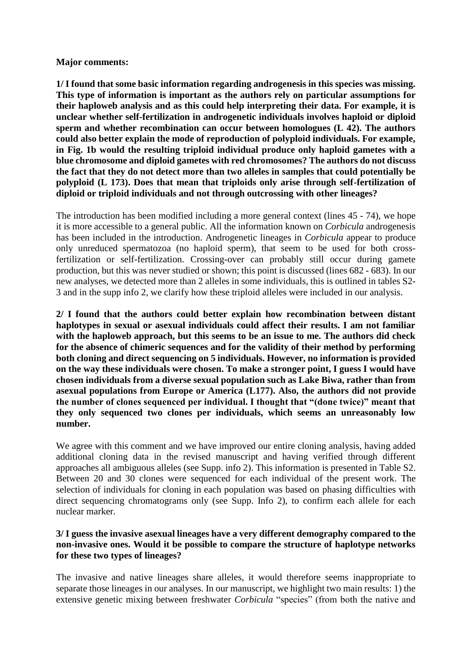#### **Major comments:**

**1/ I found that some basic information regarding androgenesis in this species was missing. This type of information is important as the authors rely on particular assumptions for their haploweb analysis and as this could help interpreting their data. For example, it is unclear whether self-fertilization in androgenetic individuals involves haploid or diploid sperm and whether recombination can occur between homologues (L 42). The authors could also better explain the mode of reproduction of polyploid individuals. For example, in Fig. 1b would the resulting triploid individual produce only haploid gametes with a blue chromosome and diploid gametes with red chromosomes? The authors do not discuss the fact that they do not detect more than two alleles in samples that could potentially be polyploid (L 173). Does that mean that triploids only arise through self-fertilization of diploid or triploid individuals and not through outcrossing with other lineages?**

The introduction has been modified including a more general context (lines 45 - 74), we hope it is more accessible to a general public. All the information known on *Corbicula* androgenesis has been included in the introduction. Androgenetic lineages in *Corbicula* appear to produce only unreduced spermatozoa (no haploid sperm), that seem to be used for both crossfertilization or self-fertilization. Crossing-over can probably still occur during gamete production, but this was never studied or shown; this point is discussed (lines 682 - 683). In our new analyses, we detected more than 2 alleles in some individuals, this is outlined in tables S2- 3 and in the supp info 2, we clarify how these triploid alleles were included in our analysis.

**2/ I found that the authors could better explain how recombination between distant haplotypes in sexual or asexual individuals could affect their results. I am not familiar with the haploweb approach, but this seems to be an issue to me. The authors did check for the absence of chimeric sequences and for the validity of their method by performing both cloning and direct sequencing on 5 individuals. However, no information is provided on the way these individuals were chosen. To make a stronger point, I guess I would have chosen individuals from a diverse sexual population such as Lake Biwa, rather than from asexual populations from Europe or America (L177). Also, the authors did not provide the number of clones sequenced per individual. I thought that "(done twice)" meant that they only sequenced two clones per individuals, which seems an unreasonably low number.**

We agree with this comment and we have improved our entire cloning analysis, having added additional cloning data in the revised manuscript and having verified through different approaches all ambiguous alleles (see Supp. info 2). This information is presented in Table S2. Between 20 and 30 clones were sequenced for each individual of the present work. The selection of individuals for cloning in each population was based on phasing difficulties with direct sequencing chromatograms only (see Supp. Info 2), to confirm each allele for each nuclear marker.

#### **3/ I guess the invasive asexual lineages have a very different demography compared to the non-invasive ones. Would it be possible to compare the structure of haplotype networks for these two types of lineages?**

The invasive and native lineages share alleles, it would therefore seems inappropriate to separate those lineages in our analyses. In our manuscript, we highlight two main results: 1) the extensive genetic mixing between freshwater *Corbicula* "species" (from both the native and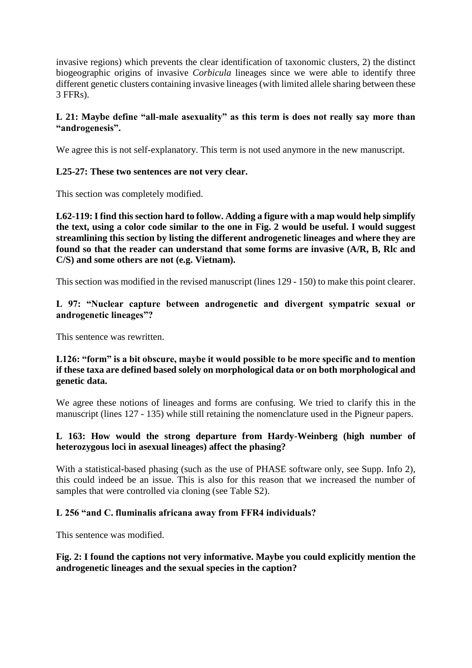invasive regions) which prevents the clear identification of taxonomic clusters, 2) the distinct biogeographic origins of invasive *Corbicula* lineages since we were able to identify three different genetic clusters containing invasive lineages (with limited allele sharing between these 3 FFRs).

## **L 21: Maybe define "all-male asexuality" as this term is does not really say more than "androgenesis".**

We agree this is not self-explanatory. This term is not used anymore in the new manuscript.

## **L25-27: These two sentences are not very clear.**

This section was completely modified.

**L62-119: I find this section hard to follow. Adding a figure with a map would help simplify the text, using a color code similar to the one in Fig. 2 would be useful. I would suggest streamlining this section by listing the different androgenetic lineages and where they are found so that the reader can understand that some forms are invasive (A/R, B, Rlc and C/S) and some others are not (e.g. Vietnam).**

This section was modified in the revised manuscript (lines 129 - 150) to make this point clearer.

## **L 97: "Nuclear capture between androgenetic and divergent sympatric sexual or androgenetic lineages"?**

This sentence was rewritten.

## **L126: "form" is a bit obscure, maybe it would possible to be more specific and to mention if these taxa are defined based solely on morphological data or on both morphological and genetic data.**

We agree these notions of lineages and forms are confusing. We tried to clarify this in the manuscript (lines 127 - 135) while still retaining the nomenclature used in the Pigneur papers.

## **L 163: How would the strong departure from Hardy-Weinberg (high number of heterozygous loci in asexual lineages) affect the phasing?**

With a statistical-based phasing (such as the use of PHASE software only, see Supp. Info 2), this could indeed be an issue. This is also for this reason that we increased the number of samples that were controlled via cloning (see Table S2).

## **L 256 "and C. fluminalis africana away from FFR4 individuals?**

This sentence was modified.

## **Fig. 2: I found the captions not very informative. Maybe you could explicitly mention the androgenetic lineages and the sexual species in the caption?**